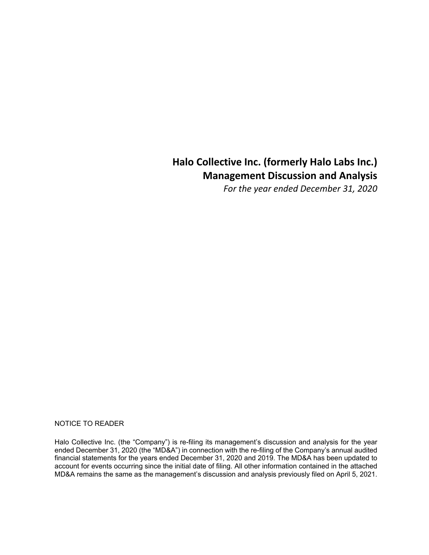# **Halo Collective Inc. (formerly Halo Labs Inc.) Management Discussion and Analysis**

*For the year ended December 31, 2020* 

#### NOTICE TO READER

Halo Collective Inc. (the "Company") is re-filing its management's discussion and analysis for the year ended December 31, 2020 (the "MD&A") in connection with the re-filing of the Company's annual audited financial statements for the years ended December 31, 2020 and 2019. The MD&A has been updated to account for events occurring since the initial date of filing. All other information contained in the attached MD&A remains the same as the management's discussion and analysis previously filed on April 5, 2021.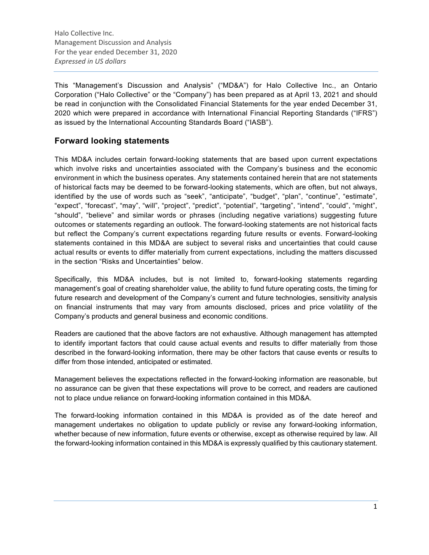This "Management's Discussion and Analysis" ("MD&A") for Halo Collective Inc., an Ontario Corporation ("Halo Collective" or the "Company") has been prepared as at April 13, 2021 and should be read in conjunction with the Consolidated Financial Statements for the year ended December 31, 2020 which were prepared in accordance with International Financial Reporting Standards ("IFRS") as issued by the International Accounting Standards Board ("IASB").

# **Forward looking statements**

This MD&A includes certain forward-looking statements that are based upon current expectations which involve risks and uncertainties associated with the Company's business and the economic environment in which the business operates. Any statements contained herein that are not statements of historical facts may be deemed to be forward-looking statements, which are often, but not always, identified by the use of words such as "seek", "anticipate", "budget", "plan", "continue", "estimate", "expect", "forecast", "may", "will", "project", "predict", "potential", "targeting", "intend", "could", "might", "should", "believe" and similar words or phrases (including negative variations) suggesting future outcomes or statements regarding an outlook. The forward-looking statements are not historical facts but reflect the Company's current expectations regarding future results or events. Forward-looking statements contained in this MD&A are subject to several risks and uncertainties that could cause actual results or events to differ materially from current expectations, including the matters discussed in the section "Risks and Uncertainties" below.

Specifically, this MD&A includes, but is not limited to, forward-looking statements regarding management's goal of creating shareholder value, the ability to fund future operating costs, the timing for future research and development of the Company's current and future technologies, sensitivity analysis on financial instruments that may vary from amounts disclosed, prices and price volatility of the Company's products and general business and economic conditions.

Readers are cautioned that the above factors are not exhaustive. Although management has attempted to identify important factors that could cause actual events and results to differ materially from those described in the forward-looking information, there may be other factors that cause events or results to differ from those intended, anticipated or estimated.

Management believes the expectations reflected in the forward-looking information are reasonable, but no assurance can be given that these expectations will prove to be correct, and readers are cautioned not to place undue reliance on forward-looking information contained in this MD&A.

The forward-looking information contained in this MD&A is provided as of the date hereof and management undertakes no obligation to update publicly or revise any forward-looking information, whether because of new information, future events or otherwise, except as otherwise required by law. All the forward-looking information contained in this MD&A is expressly qualified by this cautionary statement.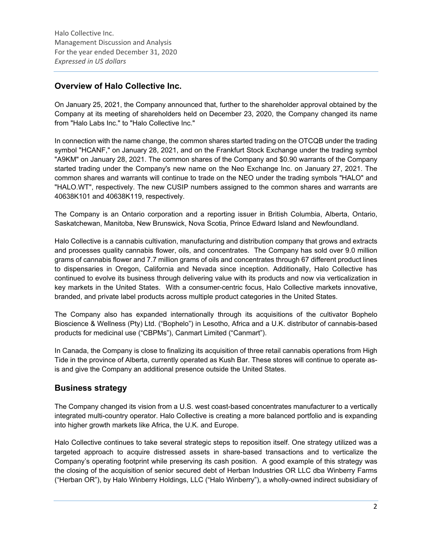# **Overview of Halo Collective Inc.**

On January 25, 2021, the Company announced that, further to the shareholder approval obtained by the Company at its meeting of shareholders held on December 23, 2020, the Company changed its name from "Halo Labs Inc." to "Halo Collective Inc."

In connection with the name change, the common shares started trading on the OTCQB under the trading symbol "HCANF," on January 28, 2021, and on the Frankfurt Stock Exchange under the trading symbol "A9KM" on January 28, 2021. The common shares of the Company and \$0.90 warrants of the Company started trading under the Company's new name on the Neo Exchange Inc. on January 27, 2021. The common shares and warrants will continue to trade on the NEO under the trading symbols "HALO" and "HALO.WT", respectively. The new CUSIP numbers assigned to the common shares and warrants are 40638K101 and 40638K119, respectively.

The Company is an Ontario corporation and a reporting issuer in British Columbia, Alberta, Ontario, Saskatchewan, Manitoba, New Brunswick, Nova Scotia, Prince Edward Island and Newfoundland.

Halo Collective is a cannabis cultivation, manufacturing and distribution company that grows and extracts and processes quality cannabis flower, oils, and concentrates. The Company has sold over 9.0 million grams of cannabis flower and 7.7 million grams of oils and concentrates through 67 different product lines to dispensaries in Oregon, California and Nevada since inception. Additionally, Halo Collective has continued to evolve its business through delivering value with its products and now via verticalization in key markets in the United States. With a consumer-centric focus, Halo Collective markets innovative, branded, and private label products across multiple product categories in the United States.

The Company also has expanded internationally through its acquisitions of the cultivator Bophelo Bioscience & Wellness (Pty) Ltd. ("Bophelo") in Lesotho, Africa and a U.K. distributor of cannabis-based products for medicinal use ("CBPMs"), Canmart Limited ("Canmart").

In Canada, the Company is close to finalizing its acquisition of three retail cannabis operations from High Tide in the province of Alberta, currently operated as Kush Bar. These stores will continue to operate asis and give the Company an additional presence outside the United States.

# **Business strategy**

The Company changed its vision from a U.S. west coast-based concentrates manufacturer to a vertically integrated multi-country operator. Halo Collective is creating a more balanced portfolio and is expanding into higher growth markets like Africa, the U.K. and Europe.

Halo Collective continues to take several strategic steps to reposition itself. One strategy utilized was a targeted approach to acquire distressed assets in share-based transactions and to verticalize the Company's operating footprint while preserving its cash position. A good example of this strategy was the closing of the acquisition of senior secured debt of Herban Industries OR LLC dba Winberry Farms ("Herban OR"), by Halo Winberry Holdings, LLC ("Halo Winberry"), a wholly-owned indirect subsidiary of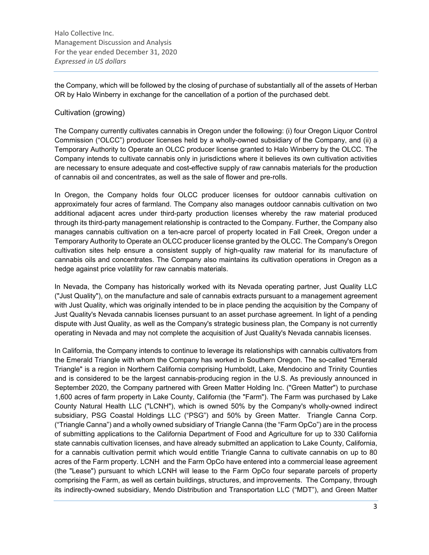the Company, which will be followed by the closing of purchase of substantially all of the assets of Herban OR by Halo Winberry in exchange for the cancellation of a portion of the purchased debt.

### Cultivation (growing)

The Company currently cultivates cannabis in Oregon under the following: (i) four Oregon Liquor Control Commission ("OLCC") producer licenses held by a wholly-owned subsidiary of the Company, and (ii) a Temporary Authority to Operate an OLCC producer license granted to Halo Winberry by the OLCC. The Company intends to cultivate cannabis only in jurisdictions where it believes its own cultivation activities are necessary to ensure adequate and cost-effective supply of raw cannabis materials for the production of cannabis oil and concentrates, as well as the sale of flower and pre-rolls.

In Oregon, the Company holds four OLCC producer licenses for outdoor cannabis cultivation on approximately four acres of farmland. The Company also manages outdoor cannabis cultivation on two additional adjacent acres under third-party production licenses whereby the raw material produced through its third-party management relationship is contracted to the Company. Further, the Company also manages cannabis cultivation on a ten-acre parcel of property located in Fall Creek, Oregon under a Temporary Authority to Operate an OLCC producer license granted by the OLCC. The Company's Oregon cultivation sites help ensure a consistent supply of high-quality raw material for its manufacture of cannabis oils and concentrates. The Company also maintains its cultivation operations in Oregon as a hedge against price volatility for raw cannabis materials.

In Nevada, the Company has historically worked with its Nevada operating partner, Just Quality LLC ("Just Quality"), on the manufacture and sale of cannabis extracts pursuant to a management agreement with Just Quality, which was originally intended to be in place pending the acquisition by the Company of Just Quality's Nevada cannabis licenses pursuant to an asset purchase agreement. In light of a pending dispute with Just Quality, as well as the Company's strategic business plan, the Company is not currently operating in Nevada and may not complete the acquisition of Just Quality's Nevada cannabis licenses.

In California, the Company intends to continue to leverage its relationships with cannabis cultivators from the Emerald Triangle with whom the Company has worked in Southern Oregon. The so-called "Emerald Triangle" is a region in Northern California comprising Humboldt, Lake, Mendocino and Trinity Counties and is considered to be the largest cannabis-producing region in the U.S. As previously announced in September 2020, the Company partnered with Green Matter Holding Inc. ("Green Matter") to purchase 1,600 acres of farm property in Lake County, California (the "Farm"). The Farm was purchased by Lake County Natural Health LLC ("LCNH"), which is owned 50% by the Company's wholly-owned indirect subsidiary, PSG Coastal Holdings LLC ("PSG") and 50% by Green Matter. Triangle Canna Corp. ("Triangle Canna") and a wholly owned subsidiary of Triangle Canna (the "Farm OpCo") are in the process of submitting applications to the California Department of Food and Agriculture for up to 330 California state cannabis cultivation licenses, and have already submitted an application to Lake County, California, for a cannabis cultivation permit which would entitle Triangle Canna to cultivate cannabis on up to 80 acres of the Farm property. LCNH and the Farm OpCo have entered into a commercial lease agreement (the "Lease") pursuant to which LCNH will lease to the Farm OpCo four separate parcels of property comprising the Farm, as well as certain buildings, structures, and improvements. The Company, through its indirectly-owned subsidiary, Mendo Distribution and Transportation LLC ("MDT"), and Green Matter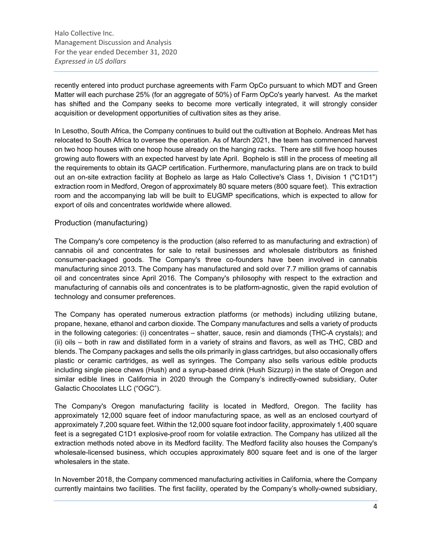recently entered into product purchase agreements with Farm OpCo pursuant to which MDT and Green Matter will each purchase 25% (for an aggregate of 50%) of Farm OpCo's yearly harvest. As the market has shifted and the Company seeks to become more vertically integrated, it will strongly consider acquisition or development opportunities of cultivation sites as they arise.

In Lesotho, South Africa, the Company continues to build out the cultivation at Bophelo. Andreas Met has relocated to South Africa to oversee the operation. As of March 2021, the team has commenced harvest on two hoop houses with one hoop house already on the hanging racks. There are still five hoop houses growing auto flowers with an expected harvest by late April. Bophelo is still in the process of meeting all the requirements to obtain its GACP certification. Furthermore, manufacturing plans are on track to build out an on-site extraction facility at Bophelo as large as Halo Collective's Class 1, Division 1 ("C1D1") extraction room in Medford, Oregon of approximately 80 square meters (800 square feet). This extraction room and the accompanying lab will be built to EUGMP specifications, which is expected to allow for export of oils and concentrates worldwide where allowed.

### Production (manufacturing)

The Company's core competency is the production (also referred to as manufacturing and extraction) of cannabis oil and concentrates for sale to retail businesses and wholesale distributors as finished consumer-packaged goods. The Company's three co-founders have been involved in cannabis manufacturing since 2013. The Company has manufactured and sold over 7.7 million grams of cannabis oil and concentrates since April 2016. The Company's philosophy with respect to the extraction and manufacturing of cannabis oils and concentrates is to be platform-agnostic, given the rapid evolution of technology and consumer preferences.

The Company has operated numerous extraction platforms (or methods) including utilizing butane, propane, hexane, ethanol and carbon dioxide. The Company manufactures and sells a variety of products in the following categories: (i) concentrates – shatter, sauce, resin and diamonds (THC-A crystals); and (ii) oils – both in raw and distillated form in a variety of strains and flavors, as well as THC, CBD and blends. The Company packages and sells the oils primarily in glass cartridges, but also occasionally offers plastic or ceramic cartridges, as well as syringes. The Company also sells various edible products including single piece chews (Hush) and a syrup-based drink (Hush Sizzurp) in the state of Oregon and similar edible lines in California in 2020 through the Company's indirectly-owned subsidiary, Outer Galactic Chocolates LLC ("OGC").

The Company's Oregon manufacturing facility is located in Medford, Oregon. The facility has approximately 12,000 square feet of indoor manufacturing space, as well as an enclosed courtyard of approximately 7,200 square feet. Within the 12,000 square foot indoor facility, approximately 1,400 square feet is a segregated C1D1 explosive-proof room for volatile extraction. The Company has utilized all the extraction methods noted above in its Medford facility. The Medford facility also houses the Company's wholesale-licensed business, which occupies approximately 800 square feet and is one of the larger wholesalers in the state.

In November 2018, the Company commenced manufacturing activities in California, where the Company currently maintains two facilities. The first facility, operated by the Company's wholly-owned subsidiary,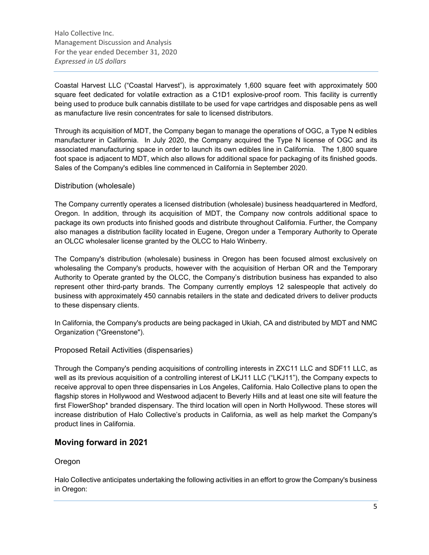Coastal Harvest LLC ("Coastal Harvest"), is approximately 1,600 square feet with approximately 500 square feet dedicated for volatile extraction as a C1D1 explosive-proof room. This facility is currently being used to produce bulk cannabis distillate to be used for vape cartridges and disposable pens as well as manufacture live resin concentrates for sale to licensed distributors.

Through its acquisition of MDT, the Company began to manage the operations of OGC, a Type N edibles manufacturer in California. In July 2020, the Company acquired the Type N license of OGC and its associated manufacturing space in order to launch its own edibles line in California. The 1,800 square foot space is adjacent to MDT, which also allows for additional space for packaging of its finished goods. Sales of the Company's edibles line commenced in California in September 2020.

### Distribution (wholesale)

The Company currently operates a licensed distribution (wholesale) business headquartered in Medford, Oregon. In addition, through its acquisition of MDT, the Company now controls additional space to package its own products into finished goods and distribute throughout California. Further, the Company also manages a distribution facility located in Eugene, Oregon under a Temporary Authority to Operate an OLCC wholesaler license granted by the OLCC to Halo Winberry.

The Company's distribution (wholesale) business in Oregon has been focused almost exclusively on wholesaling the Company's products, however with the acquisition of Herban OR and the Temporary Authority to Operate granted by the OLCC, the Company's distribution business has expanded to also represent other third-party brands. The Company currently employs 12 salespeople that actively do business with approximately 450 cannabis retailers in the state and dedicated drivers to deliver products to these dispensary clients.

In California, the Company's products are being packaged in Ukiah, CA and distributed by MDT and NMC Organization ("Greenstone").

### Proposed Retail Activities (dispensaries)

Through the Company's pending acquisitions of controlling interests in ZXC11 LLC and SDF11 LLC, as well as its previous acquisition of a controlling interest of LKJ11 LLC ("LKJ11"), the Company expects to receive approval to open three dispensaries in Los Angeles, California. Halo Collective plans to open the flagship stores in Hollywood and Westwood adjacent to Beverly Hills and at least one site will feature the first FlowerShop\* branded dispensary. The third location will open in North Hollywood. These stores will increase distribution of Halo Collective's products in California, as well as help market the Company's product lines in California.

# **Moving forward in 2021**

# **Oregon**

Halo Collective anticipates undertaking the following activities in an effort to grow the Company's business in Oregon: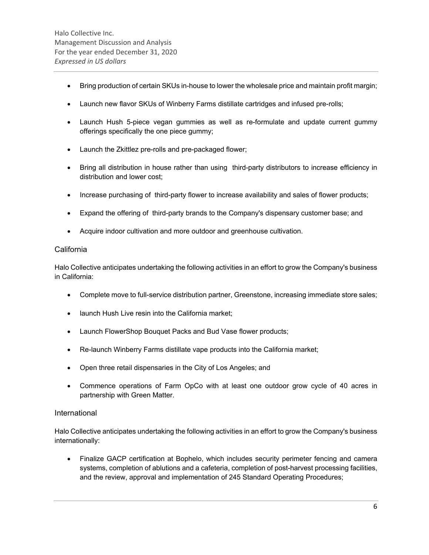- Bring production of certain SKUs in-house to lower the wholesale price and maintain profit margin;
- Launch new flavor SKUs of Winberry Farms distillate cartridges and infused pre-rolls;
- Launch Hush 5-piece vegan gummies as well as re-formulate and update current gummy offerings specifically the one piece gummy;
- Launch the Zkittlez pre-rolls and pre-packaged flower;
- Bring all distribution in house rather than using third-party distributors to increase efficiency in distribution and lower cost;
- Increase purchasing of third-party flower to increase availability and sales of flower products;
- Expand the offering of third-party brands to the Company's dispensary customer base; and
- Acquire indoor cultivation and more outdoor and greenhouse cultivation.

### **California**

Halo Collective anticipates undertaking the following activities in an effort to grow the Company's business in California:

- Complete move to full-service distribution partner, Greenstone, increasing immediate store sales;
- launch Hush Live resin into the California market;
- Launch FlowerShop Bouquet Packs and Bud Vase flower products;
- Re-launch Winberry Farms distillate vape products into the California market;
- Open three retail dispensaries in the City of Los Angeles; and
- Commence operations of Farm OpCo with at least one outdoor grow cycle of 40 acres in partnership with Green Matter.

### International

Halo Collective anticipates undertaking the following activities in an effort to grow the Company's business internationally:

 Finalize GACP certification at Bophelo, which includes security perimeter fencing and camera systems, completion of ablutions and a cafeteria, completion of post-harvest processing facilities, and the review, approval and implementation of 245 Standard Operating Procedures;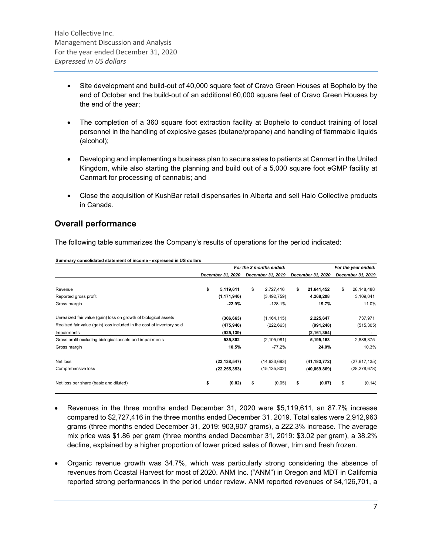- Site development and build-out of 40,000 square feet of Cravo Green Houses at Bophelo by the end of October and the build-out of an additional 60,000 square feet of Cravo Green Houses by the end of the year;
- The completion of a 360 square foot extraction facility at Bophelo to conduct training of local personnel in the handling of explosive gases (butane/propane) and handling of flammable liquids (alcohol);
- Developing and implementing a business plan to secure sales to patients at Canmart in the United Kingdom, while also starting the planning and build out of a 5,000 square foot eGMP facility at Canmart for processing of cannabis; and
- Close the acquisition of KushBar retail dispensaries in Alberta and sell Halo Collective products in Canada.

# **Overall performance**

The following table summarizes the Company's results of operations for the period indicated:

|                                                                        | For the 3 months ended: |                |    |                   |    |                   | For the year ended: |                   |  |
|------------------------------------------------------------------------|-------------------------|----------------|----|-------------------|----|-------------------|---------------------|-------------------|--|
|                                                                        | December 31, 2020       |                |    | December 31, 2019 |    | December 31, 2020 |                     | December 31, 2019 |  |
|                                                                        |                         |                |    |                   |    |                   |                     |                   |  |
| Revenue                                                                | \$                      | 5,119,611      | \$ | 2,727,416         | \$ | 21,641,452        | \$                  | 28,148,488        |  |
| Reported gross profit                                                  |                         | (1, 171, 940)  |    | (3,492,759)       |    | 4,268,208         |                     | 3,109,041         |  |
| Gross margin                                                           |                         | $-22.9%$       |    | $-128.1%$         |    | 19.7%             |                     | 11.0%             |  |
| Unrealized fair value (gain) loss on growth of biological assets       |                         | (306, 663)     |    | (1, 164, 115)     |    | 2,225,647         |                     | 737,971           |  |
| Realized fair value (gain) loss included in the cost of inventory sold |                         | (475, 940)     |    | (222, 663)        |    | (991, 248)        |                     | (515, 305)        |  |
| Impairments                                                            |                         | (925, 139)     |    |                   |    | (2, 161, 354)     |                     |                   |  |
| Gross profit excluding biological assets and impairments               |                         | 535,802        |    | (2, 105, 981)     |    | 5,195,163         |                     | 2,886,375         |  |
| Gross margin                                                           |                         | 10.5%          |    | $-77.2%$          |    | 24.0%             |                     | 10.3%             |  |
| Net loss                                                               |                         | (23, 138, 547) |    | (14, 633, 693)    |    | (41, 183, 772)    |                     | (27, 617, 135)    |  |
| Comprehensive loss                                                     |                         | (22, 255, 353) |    | (15, 135, 802)    |    | (40,069,869)      |                     | (28, 278, 678)    |  |
| Net loss per share (basic and diluted)                                 | \$                      | (0.02)         | \$ | (0.05)            | \$ | (0.07)            | \$                  | (0.14)            |  |

**Summary consolidated statement of income - expressed in US dollars**

- Revenues in the three months ended December 31, 2020 were \$5,119,611, an 87.7% increase compared to \$2,727,416 in the three months ended December 31, 2019. Total sales were 2,912,963 grams (three months ended December 31, 2019: 903,907 grams), a 222.3% increase. The average mix price was \$1.86 per gram (three months ended December 31, 2019: \$3.02 per gram), a 38.2% decline, explained by a higher proportion of lower priced sales of flower, trim and fresh frozen.
- Organic revenue growth was 34.7%, which was particularly strong considering the absence of revenues from Coastal Harvest for most of 2020. ANM Inc. ("ANM") in Oregon and MDT in California reported strong performances in the period under review. ANM reported revenues of \$4,126,701, a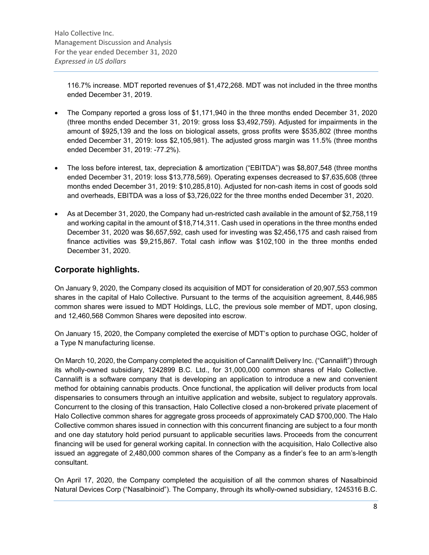116.7% increase. MDT reported revenues of \$1,472,268. MDT was not included in the three months ended December 31, 2019.

- The Company reported a gross loss of \$1,171,940 in the three months ended December 31, 2020 (three months ended December 31, 2019: gross loss \$3,492,759). Adjusted for impairments in the amount of \$925,139 and the loss on biological assets, gross profits were \$535,802 (three months ended December 31, 2019: loss \$2,105,981). The adjusted gross margin was 11.5% (three months ended December 31, 2019: -77.2%).
- The loss before interest, tax, depreciation & amortization ("EBITDA") was \$8,807,548 (three months ended December 31, 2019: loss \$13,778,569). Operating expenses decreased to \$7,635,608 (three months ended December 31, 2019: \$10,285,810). Adjusted for non-cash items in cost of goods sold and overheads, EBITDA was a loss of \$3,726,022 for the three months ended December 31, 2020.
- As at December 31, 2020, the Company had un-restricted cash available in the amount of \$2,758,119 and working capital in the amount of \$18,714,311. Cash used in operations in the three months ended December 31, 2020 was \$6,657,592, cash used for investing was \$2,456,175 and cash raised from finance activities was \$9,215,867. Total cash inflow was \$102,100 in the three months ended December 31, 2020.

# **Corporate highlights.**

On January 9, 2020, the Company closed its acquisition of MDT for consideration of 20,907,553 common shares in the capital of Halo Collective. Pursuant to the terms of the acquisition agreement, 8,446,985 common shares were issued to MDT Holdings, LLC, the previous sole member of MDT, upon closing, and 12,460,568 Common Shares were deposited into escrow.

On January 15, 2020, the Company completed the exercise of MDT's option to purchase OGC, holder of a Type N manufacturing license.

On March 10, 2020, the Company completed the acquisition of Cannalift Delivery Inc. ("Cannalift") through its wholly-owned subsidiary, 1242899 B.C. Ltd., for 31,000,000 common shares of Halo Collective. Cannalift is a software company that is developing an application to introduce a new and convenient method for obtaining cannabis products. Once functional, the application will deliver products from local dispensaries to consumers through an intuitive application and website, subject to regulatory approvals. Concurrent to the closing of this transaction, Halo Collective closed a non-brokered private placement of Halo Collective common shares for aggregate gross proceeds of approximately CAD \$700,000. The Halo Collective common shares issued in connection with this concurrent financing are subject to a four month and one day statutory hold period pursuant to applicable securities laws. Proceeds from the concurrent financing will be used for general working capital. In connection with the acquisition, Halo Collective also issued an aggregate of 2,480,000 common shares of the Company as a finder's fee to an arm's-length consultant.

On April 17, 2020, the Company completed the acquisition of all the common shares of Nasalbinoid Natural Devices Corp ("Nasalbinoid"). The Company, through its wholly-owned subsidiary, 1245316 B.C.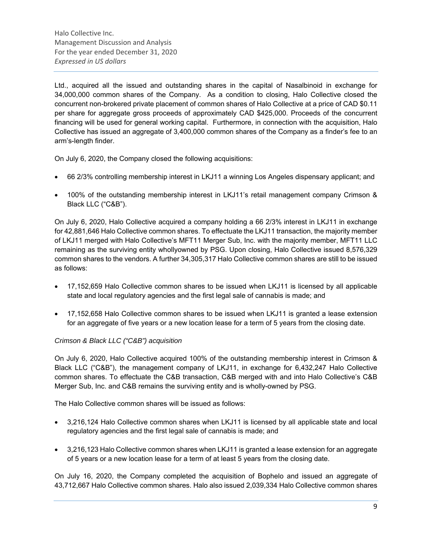Ltd., acquired all the issued and outstanding shares in the capital of Nasalbinoid in exchange for 34,000,000 common shares of the Company. As a condition to closing, Halo Collective closed the concurrent non-brokered private placement of common shares of Halo Collective at a price of CAD \$0.11 per share for aggregate gross proceeds of approximately CAD \$425,000. Proceeds of the concurrent financing will be used for general working capital. Furthermore, in connection with the acquisition, Halo Collective has issued an aggregate of 3,400,000 common shares of the Company as a finder's fee to an arm's-length finder.

On July 6, 2020, the Company closed the following acquisitions:

- 66 2/3% controlling membership interest in LKJ11 a winning Los Angeles dispensary applicant; and
- 100% of the outstanding membership interest in LKJ11's retail management company Crimson & Black LLC ("C&B").

On July 6, 2020, Halo Collective acquired a company holding a 66 2/3% interest in LKJ11 in exchange for 42,881,646 Halo Collective common shares. To effectuate the LKJ11 transaction, the majority member of LKJ11 merged with Halo Collective's MFT11 Merger Sub, Inc. with the majority member, MFT11 LLC remaining as the surviving entity whollyowned by PSG. Upon closing, Halo Collective issued 8,576,329 common shares to the vendors. A further 34,305,317 Halo Collective common shares are still to be issued as follows:

- 17,152,659 Halo Collective common shares to be issued when LKJ11 is licensed by all applicable state and local regulatory agencies and the first legal sale of cannabis is made; and
- 17,152,658 Halo Collective common shares to be issued when LKJ11 is granted a lease extension for an aggregate of five years or a new location lease for a term of 5 years from the closing date.

### *Crimson & Black LLC ("C&B") acquisition*

On July 6, 2020, Halo Collective acquired 100% of the outstanding membership interest in Crimson & Black LLC ("C&B"), the management company of LKJ11, in exchange for 6,432,247 Halo Collective common shares. To effectuate the C&B transaction, C&B merged with and into Halo Collective's C&B Merger Sub, Inc. and C&B remains the surviving entity and is wholly-owned by PSG.

The Halo Collective common shares will be issued as follows:

- 3,216,124 Halo Collective common shares when LKJ11 is licensed by all applicable state and local regulatory agencies and the first legal sale of cannabis is made; and
- 3,216,123 Halo Collective common shares when LKJ11 is granted a lease extension for an aggregate of 5 years or a new location lease for a term of at least 5 years from the closing date.

On July 16, 2020, the Company completed the acquisition of Bophelo and issued an aggregate of 43,712,667 Halo Collective common shares. Halo also issued 2,039,334 Halo Collective common shares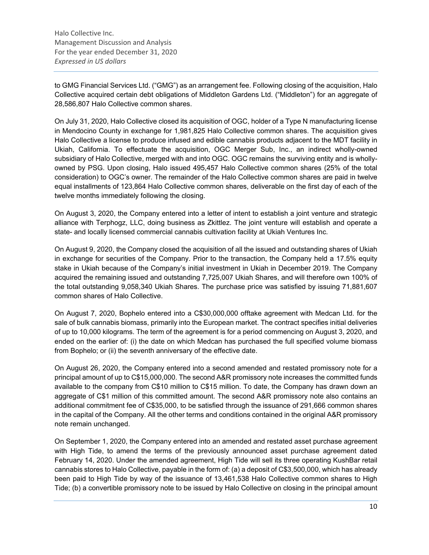to GMG Financial Services Ltd. ("GMG") as an arrangement fee. Following closing of the acquisition, Halo Collective acquired certain debt obligations of Middleton Gardens Ltd. ("Middleton") for an aggregate of 28,586,807 Halo Collective common shares.

On July 31, 2020, Halo Collective closed its acquisition of OGC, holder of a Type N manufacturing license in Mendocino County in exchange for 1,981,825 Halo Collective common shares. The acquisition gives Halo Collective a license to produce infused and edible cannabis products adjacent to the MDT facility in Ukiah, California. To effectuate the acquisition, OGC Merger Sub, Inc., an indirect wholly-owned subsidiary of Halo Collective, merged with and into OGC. OGC remains the surviving entity and is whollyowned by PSG. Upon closing, Halo issued 495,457 Halo Collective common shares (25% of the total consideration) to OGC's owner. The remainder of the Halo Collective common shares are paid in twelve equal installments of 123,864 Halo Collective common shares, deliverable on the first day of each of the twelve months immediately following the closing.

On August 3, 2020, the Company entered into a letter of intent to establish a joint venture and strategic alliance with Terphogz, LLC, doing business as Zkittlez. The joint venture will establish and operate a state- and locally licensed commercial cannabis cultivation facility at Ukiah Ventures Inc.

On August 9, 2020, the Company closed the acquisition of all the issued and outstanding shares of Ukiah in exchange for securities of the Company. Prior to the transaction, the Company held a 17.5% equity stake in Ukiah because of the Company's initial investment in Ukiah in December 2019. The Company acquired the remaining issued and outstanding 7,725,007 Ukiah Shares, and will therefore own 100% of the total outstanding 9,058,340 Ukiah Shares. The purchase price was satisfied by issuing 71,881,607 common shares of Halo Collective.

On August 7, 2020, Bophelo entered into a C\$30,000,000 offtake agreement with Medcan Ltd. for the sale of bulk cannabis biomass, primarily into the European market. The contract specifies initial deliveries of up to 10,000 kilograms. The term of the agreement is for a period commencing on August 3, 2020, and ended on the earlier of: (i) the date on which Medcan has purchased the full specified volume biomass from Bophelo; or (ii) the seventh anniversary of the effective date.

On August 26, 2020, the Company entered into a second amended and restated promissory note for a principal amount of up to C\$15,000,000. The second A&R promissory note increases the committed funds available to the company from C\$10 million to C\$15 million. To date, the Company has drawn down an aggregate of C\$1 million of this committed amount. The second A&R promissory note also contains an additional commitment fee of C\$35,000, to be satisfied through the issuance of 291,666 common shares in the capital of the Company. All the other terms and conditions contained in the original A&R promissory note remain unchanged.

On September 1, 2020, the Company entered into an amended and restated asset purchase agreement with High Tide, to amend the terms of the previously announced asset purchase agreement dated February 14, 2020. Under the amended agreement, High Tide will sell its three operating KushBar retail cannabis stores to Halo Collective, payable in the form of: (a) a deposit of C\$3,500,000, which has already been paid to High Tide by way of the issuance of 13,461,538 Halo Collective common shares to High Tide; (b) a convertible promissory note to be issued by Halo Collective on closing in the principal amount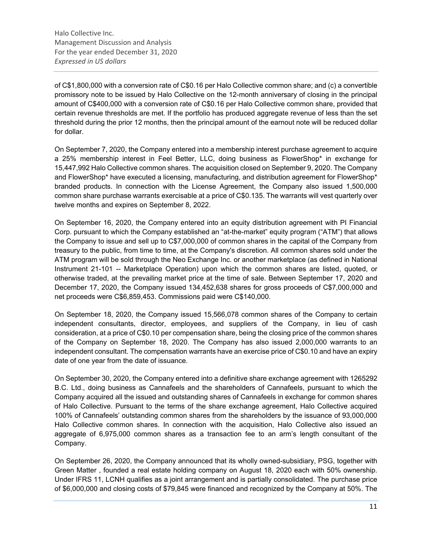of C\$1,800,000 with a conversion rate of C\$0.16 per Halo Collective common share; and (c) a convertible promissory note to be issued by Halo Collective on the 12-month anniversary of closing in the principal amount of C\$400,000 with a conversion rate of C\$0.16 per Halo Collective common share, provided that certain revenue thresholds are met. If the portfolio has produced aggregate revenue of less than the set threshold during the prior 12 months, then the principal amount of the earnout note will be reduced dollar for dollar.

On September 7, 2020, the Company entered into a membership interest purchase agreement to acquire a 25% membership interest in Feel Better, LLC, doing business as FlowerShop\* in exchange for 15,447,992 Halo Collective common shares. The acquisition closed on September 9, 2020. The Company and FlowerShop\* have executed a licensing, manufacturing, and distribution agreement for FlowerShop\* branded products. In connection with the License Agreement, the Company also issued 1,500,000 common share purchase warrants exercisable at a price of C\$0.135. The warrants will vest quarterly over twelve months and expires on September 8, 2022.

On September 16, 2020, the Company entered into an equity distribution agreement with PI Financial Corp. pursuant to which the Company established an "at-the-market" equity program ("ATM") that allows the Company to issue and sell up to C\$7,000,000 of common shares in the capital of the Company from treasury to the public, from time to time, at the Company's discretion. All common shares sold under the ATM program will be sold through the Neo Exchange Inc. or another marketplace (as defined in National Instrument 21-101 -- Marketplace Operation) upon which the common shares are listed, quoted, or otherwise traded, at the prevailing market price at the time of sale. Between September 17, 2020 and December 17, 2020, the Company issued 134,452,638 shares for gross proceeds of C\$7,000,000 and net proceeds were C\$6,859,453. Commissions paid were C\$140,000.

On September 18, 2020, the Company issued 15,566,078 common shares of the Company to certain independent consultants, director, employees, and suppliers of the Company, in lieu of cash consideration, at a price of C\$0.10 per compensation share, being the closing price of the common shares of the Company on September 18, 2020. The Company has also issued 2,000,000 warrants to an independent consultant. The compensation warrants have an exercise price of C\$0.10 and have an expiry date of one year from the date of issuance.

On September 30, 2020, the Company entered into a definitive share exchange agreement with 1265292 B.C. Ltd., doing business as Cannafeels and the shareholders of Cannafeels, pursuant to which the Company acquired all the issued and outstanding shares of Cannafeels in exchange for common shares of Halo Collective. Pursuant to the terms of the share exchange agreement, Halo Collective acquired 100% of Cannafeels' outstanding common shares from the shareholders by the issuance of 93,000,000 Halo Collective common shares. In connection with the acquisition, Halo Collective also issued an aggregate of 6,975,000 common shares as a transaction fee to an arm's length consultant of the Company.

On September 26, 2020, the Company announced that its wholly owned-subsidiary, PSG, together with Green Matter , founded a real estate holding company on August 18, 2020 each with 50% ownership. Under IFRS 11, LCNH qualifies as a joint arrangement and is partially consolidated. The purchase price of \$6,000,000 and closing costs of \$79,845 were financed and recognized by the Company at 50%. The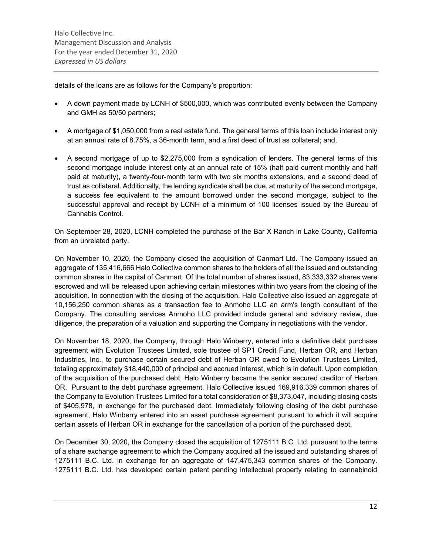details of the loans are as follows for the Company's proportion:

- A down payment made by LCNH of \$500,000, which was contributed evenly between the Company and GMH as 50/50 partners;
- A mortgage of \$1,050,000 from a real estate fund. The general terms of this loan include interest only at an annual rate of 8.75%, a 36-month term, and a first deed of trust as collateral; and,
- A second mortgage of up to \$2,275,000 from a syndication of lenders. The general terms of this second mortgage include interest only at an annual rate of 15% (half paid current monthly and half paid at maturity), a twenty-four-month term with two six months extensions, and a second deed of trust as collateral. Additionally, the lending syndicate shall be due, at maturity of the second mortgage, a success fee equivalent to the amount borrowed under the second mortgage, subject to the successful approval and receipt by LCNH of a minimum of 100 licenses issued by the Bureau of Cannabis Control.

On September 28, 2020, LCNH completed the purchase of the Bar X Ranch in Lake County, California from an unrelated party.

On November 10, 2020, the Company closed the acquisition of Canmart Ltd. The Company issued an aggregate of 135,416,666 Halo Collective common shares to the holders of all the issued and outstanding common shares in the capital of Canmart. Of the total number of shares issued, 83,333,332 shares were escrowed and will be released upon achieving certain milestones within two years from the closing of the acquisition. In connection with the closing of the acquisition, Halo Collective also issued an aggregate of 10,156,250 common shares as a transaction fee to Anmoho LLC an arm's length consultant of the Company. The consulting services Anmoho LLC provided include general and advisory review, due diligence, the preparation of a valuation and supporting the Company in negotiations with the vendor.

On November 18, 2020, the Company, through Halo Winberry, entered into a definitive debt purchase agreement with Evolution Trustees Limited, sole trustee of SP1 Credit Fund, Herban OR, and Herban Industries, Inc., to purchase certain secured debt of Herban OR owed to Evolution Trustees Limited, totaling approximately \$18,440,000 of principal and accrued interest, which is in default. Upon completion of the acquisition of the purchased debt, Halo Winberry became the senior secured creditor of Herban OR. Pursuant to the debt purchase agreement, Halo Collective issued 169,916,339 common shares of the Company to Evolution Trustees Limited for a total consideration of \$8,373,047, including closing costs of \$405,978, in exchange for the purchased debt. Immediately following closing of the debt purchase agreement, Halo Winberry entered into an asset purchase agreement pursuant to which it will acquire certain assets of Herban OR in exchange for the cancellation of a portion of the purchased debt.

On December 30, 2020, the Company closed the acquisition of 1275111 B.C. Ltd. pursuant to the terms of a share exchange agreement to which the Company acquired all the issued and outstanding shares of 1275111 B.C. Ltd. in exchange for an aggregate of 147,475,343 common shares of the Company. 1275111 B.C. Ltd. has developed certain patent pending intellectual property relating to cannabinoid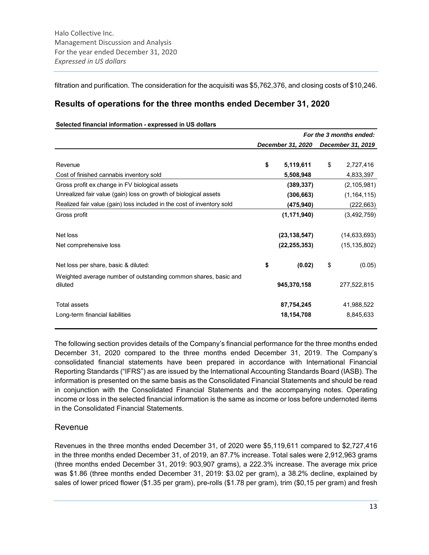filtration and purification. The consideration for the acquisiti was \$5,762,376, and closing costs of \$10,246.

# **Results of operations for the three months ended December 31, 2020**

#### **Selected financial information - expressed in US dollars**

|                                                                            | For the 3 months ended: |                |    |                   |  |
|----------------------------------------------------------------------------|-------------------------|----------------|----|-------------------|--|
|                                                                            | December 31, 2020       |                |    | December 31, 2019 |  |
| Revenue                                                                    | \$                      | 5,119,611      | \$ | 2,727,416         |  |
| Cost of finished cannabis inventory sold                                   |                         | 5,508,948      |    | 4,833,397         |  |
| Gross profit ex change in FV biological assets                             |                         | (389, 337)     |    | (2, 105, 981)     |  |
| Unrealized fair value (gain) loss on growth of biological assets           |                         | (306, 663)     |    | (1, 164, 115)     |  |
| Realized fair value (gain) loss included in the cost of inventory sold     |                         | (475, 940)     |    | (222, 663)        |  |
| Gross profit                                                               |                         | (1, 171, 940)  |    | (3,492,759)       |  |
| Net loss                                                                   |                         | (23, 138, 547) |    | (14, 633, 693)    |  |
| Net comprehensive loss                                                     |                         | (22, 255, 353) |    | (15, 135, 802)    |  |
| Net loss per share, basic & diluted:                                       | \$                      | (0.02)         | \$ | (0.05)            |  |
| Weighted average number of outstanding common shares, basic and<br>diluted |                         | 945,370,158    |    | 277,522,815       |  |
| <b>Total assets</b>                                                        |                         | 87,754,245     |    | 41,988,522        |  |
| Long-term financial liabilities                                            |                         | 18,154,708     |    | 8,845,633         |  |

The following section provides details of the Company's financial performance for the three months ended December 31, 2020 compared to the three months ended December 31, 2019. The Company's consolidated financial statements have been prepared in accordance with International Financial Reporting Standards ("IFRS") as are issued by the International Accounting Standards Board (IASB). The information is presented on the same basis as the Consolidated Financial Statements and should be read in conjunction with the Consolidated Financial Statements and the accompanying notes. Operating income or loss in the selected financial information is the same as income or loss before undernoted items in the Consolidated Financial Statements.

# Revenue

Revenues in the three months ended December 31, of 2020 were \$5,119,611 compared to \$2,727,416 in the three months ended December 31, of 2019, an 87.7% increase. Total sales were 2,912,963 grams (three months ended December 31, 2019: 903,907 grams), a 222.3% increase. The average mix price was \$1.86 (three months ended December 31, 2019: \$3.02 per gram), a 38.2% decline, explained by sales of lower priced flower (\$1.35 per gram), pre-rolls (\$1.78 per gram), trim (\$0,15 per gram) and fresh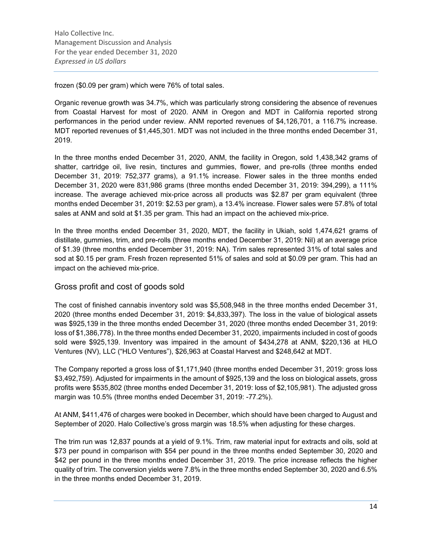frozen (\$0.09 per gram) which were 76% of total sales.

Organic revenue growth was 34.7%, which was particularly strong considering the absence of revenues from Coastal Harvest for most of 2020. ANM in Oregon and MDT in California reported strong performances in the period under review. ANM reported revenues of \$4,126,701, a 116.7% increase. MDT reported revenues of \$1,445,301. MDT was not included in the three months ended December 31, 2019.

In the three months ended December 31, 2020, ANM, the facility in Oregon, sold 1,438,342 grams of shatter, cartridge oil, live resin, tinctures and gummies, flower, and pre-rolls (three months ended December 31, 2019: 752,377 grams), a 91.1% increase. Flower sales in the three months ended December 31, 2020 were 831,986 grams (three months ended December 31, 2019: 394,299), a 111% increase. The average achieved mix-price across all products was \$2.87 per gram equivalent (three months ended December 31, 2019: \$2.53 per gram), a 13.4% increase. Flower sales were 57.8% of total sales at ANM and sold at \$1.35 per gram. This had an impact on the achieved mix-price.

In the three months ended December 31, 2020, MDT, the facility in Ukiah, sold 1,474,621 grams of distillate, gummies, trim, and pre-rolls (three months ended December 31, 2019: Nil) at an average price of \$1.39 (three months ended December 31, 2019: NA). Trim sales represented 31% of total sales and sod at \$0.15 per gram. Fresh frozen represented 51% of sales and sold at \$0.09 per gram. This had an impact on the achieved mix-price.

# Gross profit and cost of goods sold

The cost of finished cannabis inventory sold was \$5,508,948 in the three months ended December 31, 2020 (three months ended December 31, 2019: \$4,833,397). The loss in the value of biological assets was \$925,139 in the three months ended December 31, 2020 (three months ended December 31, 2019: loss of \$1,386,778). In the three months ended December 31, 2020, impairments included in cost of goods sold were \$925,139. Inventory was impaired in the amount of \$434,278 at ANM, \$220,136 at HLO Ventures (NV), LLC ("HLO Ventures"), \$26,963 at Coastal Harvest and \$248,642 at MDT.

The Company reported a gross loss of \$1,171,940 (three months ended December 31, 2019: gross loss \$3,492,759). Adjusted for impairments in the amount of \$925,139 and the loss on biological assets, gross profits were \$535,802 (three months ended December 31, 2019: loss of \$2,105,981). The adjusted gross margin was 10.5% (three months ended December 31, 2019: -77.2%).

At ANM, \$411,476 of charges were booked in December, which should have been charged to August and September of 2020. Halo Collective's gross margin was 18.5% when adjusting for these charges.

The trim run was 12,837 pounds at a yield of 9.1%. Trim, raw material input for extracts and oils, sold at \$73 per pound in comparison with \$54 per pound in the three months ended September 30, 2020 and \$42 per pound in the three months ended December 31, 2019. The price increase reflects the higher quality of trim. The conversion yields were 7.8% in the three months ended September 30, 2020 and 6.5% in the three months ended December 31, 2019.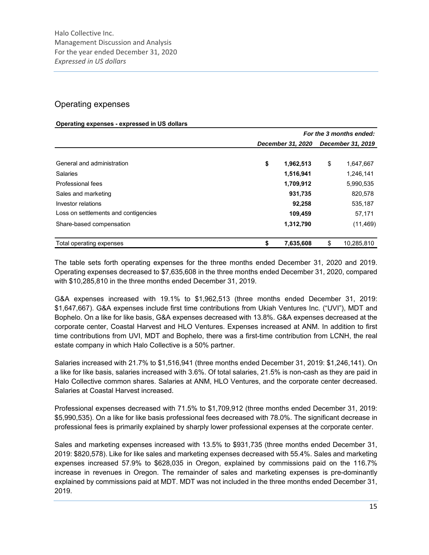# Operating expenses

#### **Operating expenses - expressed in US dollars**

|                                      | For the 3 months ended: |    |                   |  |  |  |  |  |
|--------------------------------------|-------------------------|----|-------------------|--|--|--|--|--|
|                                      | December 31, 2020       |    | December 31, 2019 |  |  |  |  |  |
| General and administration           | \$<br>1,962,513         | \$ | 1,647,667         |  |  |  |  |  |
| <b>Salaries</b>                      | 1,516,941               |    | 1,246,141         |  |  |  |  |  |
| Professional fees                    | 1,709,912               |    | 5,990,535         |  |  |  |  |  |
| Sales and marketing                  | 931,735                 |    | 820,578           |  |  |  |  |  |
| Investor relations                   | 92,258                  |    | 535,187           |  |  |  |  |  |
| Loss on settlements and contigencies | 109,459                 |    | 57,171            |  |  |  |  |  |
| Share-based compensation             | 1,312,790               |    | (11, 469)         |  |  |  |  |  |
| Total operating expenses             | 7,635,608               | \$ | 10,285,810        |  |  |  |  |  |

The table sets forth operating expenses for the three months ended December 31, 2020 and 2019. Operating expenses decreased to \$7,635,608 in the three months ended December 31, 2020, compared with \$10,285,810 in the three months ended December 31, 2019.

G&A expenses increased with 19.1% to \$1,962,513 (three months ended December 31, 2019: \$1,647,667). G&A expenses include first time contributions from Ukiah Ventures Inc. ("UVI"), MDT and Bophelo. On a like for like basis, G&A expenses decreased with 13.8%. G&A expenses decreased at the corporate center, Coastal Harvest and HLO Ventures. Expenses increased at ANM. In addition to first time contributions from UVI, MDT and Bophelo, there was a first-time contribution from LCNH, the real estate company in which Halo Collective is a 50% partner.

Salaries increased with 21.7% to \$1,516,941 (three months ended December 31, 2019: \$1,246,141). On a like for like basis, salaries increased with 3.6%. Of total salaries, 21.5% is non-cash as they are paid in Halo Collective common shares. Salaries at ANM, HLO Ventures, and the corporate center decreased. Salaries at Coastal Harvest increased.

Professional expenses decreased with 71.5% to \$1,709,912 (three months ended December 31, 2019: \$5,990,535). On a like for like basis professional fees decreased with 78.0%. The significant decrease in professional fees is primarily explained by sharply lower professional expenses at the corporate center.

Sales and marketing expenses increased with 13.5% to \$931,735 (three months ended December 31, 2019: \$820,578). Like for like sales and marketing expenses decreased with 55.4%. Sales and marketing expenses increased 57.9% to \$628,035 in Oregon, explained by commissions paid on the 116.7% increase in revenues in Oregon. The remainder of sales and marketing expenses is pre-dominantly explained by commissions paid at MDT. MDT was not included in the three months ended December 31, 2019.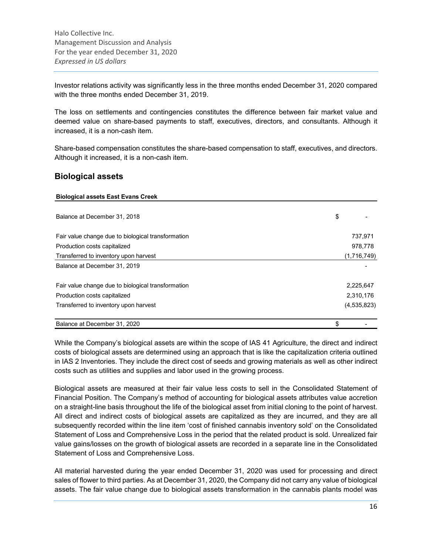Investor relations activity was significantly less in the three months ended December 31, 2020 compared with the three months ended December 31, 2019.

The loss on settlements and contingencies constitutes the difference between fair market value and deemed value on share-based payments to staff, executives, directors, and consultants. Although it increased, it is a non-cash item.

Share-based compensation constitutes the share-based compensation to staff, executives, and directors. Although it increased, it is a non-cash item.

# **Biological assets**

#### **Biological assets East Evans Creek**

| Balance at December 31, 2018                       | \$            |
|----------------------------------------------------|---------------|
| Fair value change due to biological transformation | 737,971       |
| Production costs capitalized                       | 978,778       |
| Transferred to inventory upon harvest              | (1,716,749)   |
| Balance at December 31, 2019                       |               |
| Fair value change due to biological transformation | 2,225,647     |
| Production costs capitalized                       | 2,310,176     |
| Transferred to inventory upon harvest              | (4, 535, 823) |
| Balance at December 31, 2020                       | \$            |

While the Company's biological assets are within the scope of IAS 41 Agriculture, the direct and indirect costs of biological assets are determined using an approach that is like the capitalization criteria outlined in IAS 2 Inventories. They include the direct cost of seeds and growing materials as well as other indirect costs such as utilities and supplies and labor used in the growing process.

Biological assets are measured at their fair value less costs to sell in the Consolidated Statement of Financial Position. The Company's method of accounting for biological assets attributes value accretion on a straight-line basis throughout the life of the biological asset from initial cloning to the point of harvest. All direct and indirect costs of biological assets are capitalized as they are incurred, and they are all subsequently recorded within the line item 'cost of finished cannabis inventory sold' on the Consolidated Statement of Loss and Comprehensive Loss in the period that the related product is sold. Unrealized fair value gains/losses on the growth of biological assets are recorded in a separate line in the Consolidated Statement of Loss and Comprehensive Loss.

All material harvested during the year ended December 31, 2020 was used for processing and direct sales of flower to third parties. As at December 31, 2020, the Company did not carry any value of biological assets. The fair value change due to biological assets transformation in the cannabis plants model was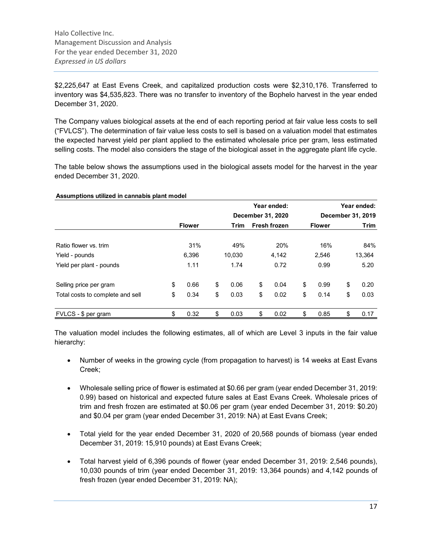\$2,225,647 at East Evens Creek, and capitalized production costs were \$2,310,176. Transferred to inventory was \$4,535,823. There was no transfer to inventory of the Bophelo harvest in the year ended December 31, 2020.

The Company values biological assets at the end of each reporting period at fair value less costs to sell ("FVLCS"). The determination of fair value less costs to sell is based on a valuation model that estimates the expected harvest yield per plant applied to the estimated wholesale price per gram, less estimated selling costs. The model also considers the stage of the biological asset in the aggregate plant life cycle.

The table below shows the assumptions used in the biological assets model for the harvest in the year ended December 31, 2020.

|                                  |               |            | Year ended:         |                   |               |    | Year ended: |
|----------------------------------|---------------|------------|---------------------|-------------------|---------------|----|-------------|
|                                  |               |            | December 31, 2020   | December 31, 2019 |               |    |             |
|                                  | <b>Flower</b> | Trim       | <b>Fresh frozen</b> |                   | <b>Flower</b> |    | Trim        |
| Ratio flower vs. trim            | 31%           | 49%        | 20%                 |                   | 16%           |    | 84%         |
| Yield - pounds                   | 6,396         | 10,030     | 4,142               |                   | 2,546         |    | 13,364      |
| Yield per plant - pounds         | 1.11          | 1.74       | 0.72                |                   | 0.99          |    | 5.20        |
| Selling price per gram           | \$<br>0.66    | \$<br>0.06 | \$<br>0.04          | \$                | 0.99          | \$ | 0.20        |
| Total costs to complete and sell | \$<br>0.34    | \$<br>0.03 | \$<br>0.02          | \$                | 0.14          | \$ | 0.03        |
| FVLCS - \$ per gram              | \$<br>0.32    | \$<br>0.03 | \$<br>0.02          | \$                | 0.85          | \$ | 0.17        |

**Assumptions utilized in cannabis plant model**

The valuation model includes the following estimates, all of which are Level 3 inputs in the fair value hierarchy:

- Number of weeks in the growing cycle (from propagation to harvest) is 14 weeks at East Evans Creek;
- Wholesale selling price of flower is estimated at \$0.66 per gram (year ended December 31, 2019: 0.99) based on historical and expected future sales at East Evans Creek. Wholesale prices of trim and fresh frozen are estimated at \$0.06 per gram (year ended December 31, 2019: \$0.20) and \$0.04 per gram (year ended December 31, 2019: NA) at East Evans Creek;
- Total yield for the year ended December 31, 2020 of 20,568 pounds of biomass (year ended December 31, 2019: 15,910 pounds) at East Evans Creek;
- Total harvest yield of 6,396 pounds of flower (year ended December 31, 2019: 2,546 pounds), 10,030 pounds of trim (year ended December 31, 2019: 13,364 pounds) and 4,142 pounds of fresh frozen (year ended December 31, 2019: NA);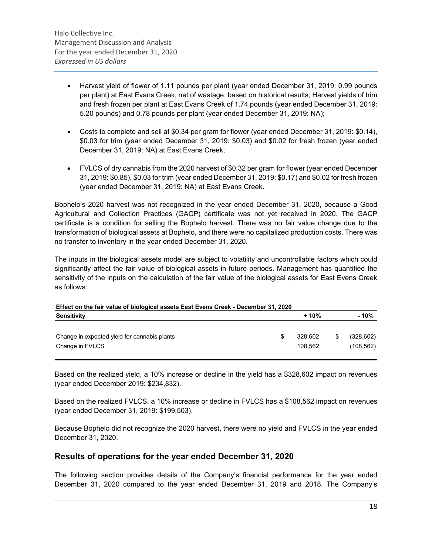- Harvest yield of flower of 1.11 pounds per plant (year ended December 31, 2019: 0.99 pounds per plant) at East Evans Creek, net of wastage, based on historical results; Harvest yields of trim and fresh frozen per plant at East Evans Creek of 1.74 pounds (year ended December 31, 2019: 5.20 pounds) and 0.78 pounds per plant (year ended December 31, 2019: NA);
- Costs to complete and sell at \$0.34 per gram for flower (year ended December 31, 2019: \$0.14), \$0.03 for trim (year ended December 31, 2019: \$0.03) and \$0.02 for fresh frozen (year ended December 31, 2019: NA) at East Evans Creek;
- FVLCS of dry cannabis from the 2020 harvest of \$0.32 per gram for flower (year ended December 31, 2019: \$0.85), \$0.03 for trim (year ended December 31, 2019: \$0.17) and \$0.02 for fresh frozen (year ended December 31, 2019: NA) at East Evans Creek.

Bophelo's 2020 harvest was not recognized in the year ended December 31, 2020, because a Good Agricultural and Collection Practices (GACP) certificate was not yet received in 2020. The GACP certificate is a condition for selling the Bophelo harvest. There was no fair value change due to the transformation of biological assets at Bophelo, and there were no capitalized production costs. There was no transfer to inventory in the year ended December 31, 2020.

The inputs in the biological assets model are subject to volatility and uncontrollable factors which could significantly affect the fair value of biological assets in future periods. Management has quantified the sensitivity of the inputs on the calculation of the fair value of the biological assets for East Evens Creek as follows:

| Effect on the fair value of biological assets East Evens Creek - December 31, 2020 |  |                    |    |                          |  |  |  |  |
|------------------------------------------------------------------------------------|--|--------------------|----|--------------------------|--|--|--|--|
| Sensitivity                                                                        |  | $+10%$             |    | - 10%                    |  |  |  |  |
| Change in expected yield for cannabis plants<br>Change in FVLCS                    |  | 328.602<br>108.562 | \$ | (328, 602)<br>(108, 562) |  |  |  |  |

Based on the realized yield, a 10% increase or decline in the yield has a \$328,602 impact on revenues (year ended December 2019: \$234,832).

Based on the realized FVLCS, a 10% increase or decline in FVLCS has a \$108,562 impact on revenues (year ended December 31, 2019: \$199,503).

Because Bophelo did not recognize the 2020 harvest, there were no yield and FVLCS in the year ended December 31, 2020.

# **Results of operations for the year ended December 31, 2020**

The following section provides details of the Company's financial performance for the year ended December 31, 2020 compared to the year ended December 31, 2019 and 2018. The Company's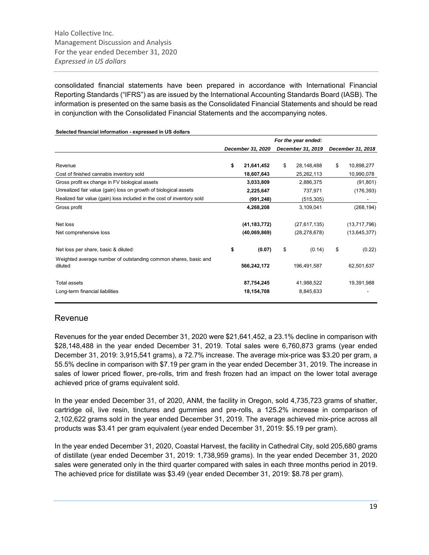consolidated financial statements have been prepared in accordance with International Financial Reporting Standards ("IFRS") as are issued by the International Accounting Standards Board (IASB). The information is presented on the same basis as the Consolidated Financial Statements and should be read in conjunction with the Consolidated Financial Statements and the accompanying notes.

| 0010a manoial momaticii - 04proceed in ee aciidre                          |    |                   |                     |                   |                   |                |  |  |
|----------------------------------------------------------------------------|----|-------------------|---------------------|-------------------|-------------------|----------------|--|--|
|                                                                            |    |                   | For the year ended: |                   |                   |                |  |  |
|                                                                            |    | December 31, 2020 |                     | December 31, 2019 | December 31, 2018 |                |  |  |
|                                                                            |    |                   |                     |                   |                   |                |  |  |
| Revenue                                                                    | \$ | 21,641,452        | \$                  | 28,148,488        | \$                | 10,898,277     |  |  |
| Cost of finished cannabis inventory sold                                   |    | 18,607,643        |                     | 25,262,113        |                   | 10,990,078     |  |  |
| Gross profit ex change in FV biological assets                             |    | 3,033,809         |                     | 2,886,375         |                   | (91, 801)      |  |  |
| Unrealized fair value (gain) loss on growth of biological assets           |    | 2,225,647         |                     | 737,971           |                   | (176, 393)     |  |  |
| Realized fair value (gain) loss included in the cost of inventory sold     |    | (991, 248)        |                     | (515, 305)        |                   |                |  |  |
| Gross profit                                                               |    | 4,268,208         |                     | 3,109,041         |                   | (268, 194)     |  |  |
| Net loss                                                                   |    | (41, 183, 772)    |                     | (27, 617, 135)    |                   | (13,717,796)   |  |  |
| Net comprehensive loss                                                     |    | (40,069,869)      |                     | (28, 278, 678)    |                   | (13, 645, 377) |  |  |
| Net loss per share, basic & diluted:                                       | \$ | (0.07)            | \$                  | (0.14)            | \$                | (0.22)         |  |  |
| Weighted average number of outstanding common shares, basic and<br>diluted |    | 566,242,172       |                     | 196,491,587       |                   | 62,501,637     |  |  |
| Total assets                                                               |    | 87,754,245        |                     | 41,988,522        |                   | 19,391,988     |  |  |
| Long-term financial liabilities                                            |    | 18,154,708        |                     | 8,845,633         |                   |                |  |  |

#### **Selected financial information - expressed in US dollars**

### Revenue

Revenues for the year ended December 31, 2020 were \$21,641,452, a 23.1% decline in comparison with \$28,148,488 in the year ended December 31, 2019. Total sales were 6,760,873 grams (year ended December 31, 2019: 3,915,541 grams), a 72.7% increase. The average mix-price was \$3.20 per gram, a 55.5% decline in comparison with \$7.19 per gram in the year ended December 31, 2019. The increase in sales of lower priced flower, pre-rolls, trim and fresh frozen had an impact on the lower total average achieved price of grams equivalent sold.

In the year ended December 31, of 2020, ANM, the facility in Oregon, sold 4,735,723 grams of shatter, cartridge oil, live resin, tinctures and gummies and pre-rolls, a 125.2% increase in comparison of 2,102,622 grams sold in the year ended December 31, 2019. The average achieved mix-price across all products was \$3.41 per gram equivalent (year ended December 31, 2019: \$5.19 per gram).

In the year ended December 31, 2020, Coastal Harvest, the facility in Cathedral City, sold 205,680 grams of distillate (year ended December 31, 2019: 1,738,959 grams). In the year ended December 31, 2020 sales were generated only in the third quarter compared with sales in each three months period in 2019. The achieved price for distillate was \$3.49 (year ended December 31, 2019: \$8.78 per gram).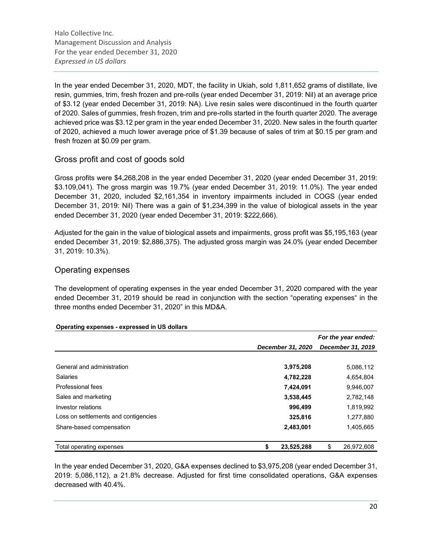In the year ended December 31, 2020, MDT, the facility in Ukiah, sold 1,811,652 grams of distillate, live resin, gummies, trim, fresh frozen and pre-rolls (year ended December 31, 2019: Nil) at an average price of \$3.12 (year ended December 31, 2019: NA). Live resin sales were discontinued in the fourth quarter of 2020. Sales of gummies, fresh frozen, trim and pre-rolls started in the fourth quarter 2020. The average achieved price was \$3.12 per gram in the year ended December 31, 2020. New sales in the fourth quarter of 2020, achieved a much lower average price of \$1.39 because of sales of trim at \$0.15 per gram and fresh frozen at \$0.09 per gram.

# Gross profit and cost of goods sold

Gross profits were \$4,268,208 in the year ended December 31, 2020 (year ended December 31, 2019: \$3.109,041). The gross margin was 19.7% (year ended December 31, 2019: 11.0%). The year ended December 31, 2020, included \$2,161,354 in inventory impairments included in COGS (year ended December 31, 2019: Nil) There was a gain of \$1,234,399 in the value of biological assets in the year ended December 31, 2020 (year ended December 31, 2019: \$222,666).

Adjusted for the gain in the value of biological assets and impairments, gross profit was \$5,195,163 (year ended December 31, 2019: \$2,886,375). The adjusted gross margin was 24.0% (year ended December 31, 2019: 10.3%).

# Operating expenses

The development of operating expenses in the year ended December 31, 2020 compared with the year ended December 31, 2019 should be read in conjunction with the section "operating expenses" in the three months ended December 31, 2020" in this MD&A.

|                                      |                   | For the year ended: |
|--------------------------------------|-------------------|---------------------|
|                                      | December 31, 2020 | December 31, 2019   |
|                                      |                   |                     |
| General and administration           | 3,975,208         | 5,086,112           |
| <b>Salaries</b>                      | 4,782,228         | 4,654,804           |
| Professional fees                    | 7,424,091         | 9,946,007           |
| Sales and marketing                  | 3,538,445         | 2,782,148           |
| Investor relations                   | 996,499           | 1,819,992           |
| Loss on settlements and contigencies | 325,816           | 1,277,880           |
| Share-based compensation             | 2,483,001         | 1,405,665           |
|                                      |                   |                     |
| Total operating expenses             | \$<br>23,525,288  | \$<br>26,972,608    |

#### **Operating expenses - expressed in US dollars**

In the year ended December 31, 2020, G&A expenses declined to \$3,975,208 (year ended December 31, 2019: 5,086,112), a 21.8% decrease. Adjusted for first time consolidated operations, G&A expenses decreased with 40.4%.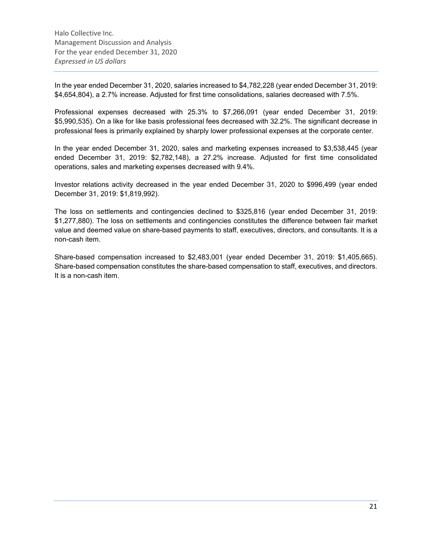In the year ended December 31, 2020, salaries increased to \$4,782,228 (year ended December 31, 2019: \$4,654,804), a 2.7% increase. Adjusted for first time consolidations, salaries decreased with 7.5%.

Professional expenses decreased with 25.3% to \$7,266,091 (year ended December 31, 2019: \$5,990,535). On a like for like basis professional fees decreased with 32.2%. The significant decrease in professional fees is primarily explained by sharply lower professional expenses at the corporate center.

In the year ended December 31, 2020, sales and marketing expenses increased to \$3,538,445 (year ended December 31, 2019: \$2,782,148), a 27.2% increase. Adjusted for first time consolidated operations, sales and marketing expenses decreased with 9.4%.

Investor relations activity decreased in the year ended December 31, 2020 to \$996,499 (year ended December 31, 2019: \$1,819,992).

The loss on settlements and contingencies declined to \$325,816 (year ended December 31, 2019: \$1,277,880). The loss on settlements and contingencies constitutes the difference between fair market value and deemed value on share-based payments to staff, executives, directors, and consultants. It is a non-cash item.

Share-based compensation increased to \$2,483,001 (year ended December 31, 2019: \$1,405,665). Share-based compensation constitutes the share-based compensation to staff, executives, and directors. It is a non-cash item.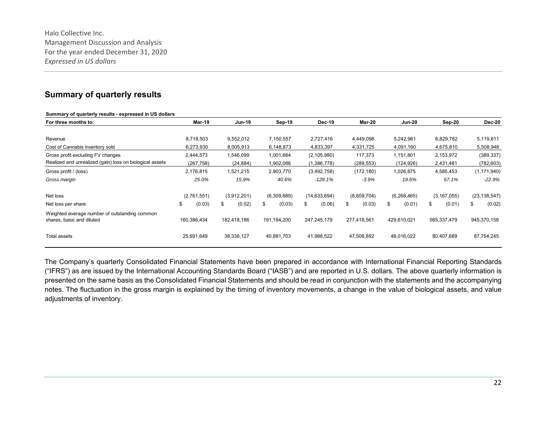# **Summary of quarterly results**

| Summary of quarterly results - expressed in US dollars                     |              |               |              |                |              |               |               |                |
|----------------------------------------------------------------------------|--------------|---------------|--------------|----------------|--------------|---------------|---------------|----------------|
| For three months to:                                                       | Mar-19       | <b>Jun-19</b> | Sep-19       | <b>Dec-19</b>  | Mar-20       | <b>Jun-20</b> | Sep-20        | Dec-20         |
|                                                                            |              |               |              |                |              |               |               |                |
| Revenue                                                                    | 8,718,503    | 9,552,012     | 7,150,557    | 2,727,416      | 4,449,098    | 5,242,961     | 6,829,782     | 5,119,611      |
| Cost of Cannabis inventory sold                                            | 6,273,930    | 8,005,913     | 6,148,873    | 4,833,397      | 4,331,725    | 4,091,160     | 4,675,810     | 5,508,948      |
| Gross profit excluding FV changes                                          | 2,444,573    | 1,546,099     | 1,001,684    | (2, 105, 980)  | 117,373      | 1,151,801     | 2,153,972     | (389, 337)     |
| Realized and unrealized (gain) loss on biological assets                   | (267, 758)   | (24,884)      | 1,902,086    | (1,386,778)    | (289, 553)   | (124,926)     | 2,431,481     | (782, 603)     |
| Gross profit / (loss)                                                      | 2,176,815    | 1,521,215     | 2,903,770    | (3,492,758)    | (172, 180)   | 1,026,875     | 4,585,453     | (1, 171, 940)  |
| Gross margin                                                               | 25.0%        | 15.9%         | 40.6%        | $-128.1%$      | $-3.9%$      | 19.6%         | 67.1%         | $-22.9%$       |
| Net loss                                                                   | (2,761,551)  | (3,912,201)   | (6,309,689)  | (14, 633, 694) | (8,609,704)  | (6, 268, 465) | (3, 167, 055) | (23, 138, 547) |
| Net loss per share                                                         | \$<br>(0.03) | (0.02)<br>\$  | (0.03)<br>\$ | (0.06)<br>\$   | \$<br>(0.03) | (0.01)<br>\$  | (0.01)<br>\$  | \$<br>(0.02)   |
| Weighted average number of outstanding common<br>shares, basic and diluted | 160,386,434  | 182,418,186   | 191,194,200  | 247,245,179    | 277,418,561  | 429,610,021   | 565,337,479   | 945,370,158    |
| Total assets                                                               | 25,691,649   | 38,338,127    | 40,881,703   | 41,988,522     | 47,508,892   | 48,016,022    | 80,407,689    | 87,754,245     |

The Company's quarterly Consolidated Financial Statements have been prepared in accordance with International Financial Reporting Standards ("IFRS") as are issued by the International Accounting Standards Board ("IASB") and are reported in U.S. dollars. The above quarterly information is presented on the same basis as the Consolidated Financial Statements and should be read in conjunction with the statements and the accompanying notes. The fluctuation in the gross margin is explained by the timing of inventory movements, a change in the value of biological assets, and value adjustments of inventory.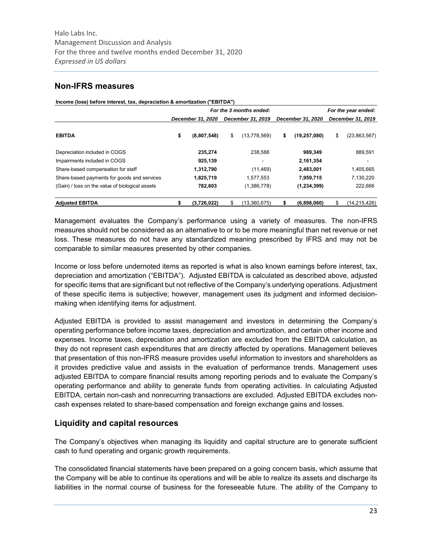# **Non-IFRS measures**

|  |  | Income (loss) before interest, tax, depraciation & amortization ("EBITDA") |  |
|--|--|----------------------------------------------------------------------------|--|
|  |  |                                                                            |  |

|                                                 | For the 3 months ended: |    |                   |                   |                |    | For the year ended: |  |  |
|-------------------------------------------------|-------------------------|----|-------------------|-------------------|----------------|----|---------------------|--|--|
|                                                 | December 31, 2020       |    | December 31, 2019 | December 31, 2020 |                |    | December 31, 2019   |  |  |
| <b>EBITDA</b>                                   | \$<br>(8,807,548)       | \$ | (13, 778, 569)    | s                 | (19, 257, 080) | \$ | (23,863,567)        |  |  |
| Depreciation included in COGS                   | 235.274                 |    | 238.588           |                   | 989,349        |    | 889,591             |  |  |
| Impairments included in COGS                    | 925,139                 |    |                   |                   | 2,161,354      |    |                     |  |  |
| Share-based compensation for staff              | 1,312,790               |    | (11, 469)         |                   | 2,483,001      |    | 1,405,665           |  |  |
| Share-based payments for goods and services     | 1,825,719               |    | 1.577.553         |                   | 7.959.715      |    | 7,130,220           |  |  |
| (Gain) / loss on the value of biological assets | 782,603                 |    | (1,386,778)       |                   | (1,234,399)    |    | 222,666             |  |  |
| <b>Adjusted EBITDA</b>                          | (3,726,022)             | S  | (13,360,675)      |                   | (6,898,060)    | S  | (14,215,426)        |  |  |

Management evaluates the Company's performance using a variety of measures. The non-IFRS measures should not be considered as an alternative to or to be more meaningful than net revenue or net loss. These measures do not have any standardized meaning prescribed by IFRS and may not be comparable to similar measures presented by other companies.

Income or loss before undernoted items as reported is what is also known earnings before interest, tax, depreciation and amortization ("EBITDA"). Adjusted EBITDA is calculated as described above, adjusted for specific items that are significant but not reflective of the Company's underlying operations. Adjustment of these specific items is subjective; however, management uses its judgment and informed decisionmaking when identifying items for adjustment.

Adjusted EBITDA is provided to assist management and investors in determining the Company's operating performance before income taxes, depreciation and amortization, and certain other income and expenses. Income taxes, depreciation and amortization are excluded from the EBITDA calculation, as they do not represent cash expenditures that are directly affected by operations. Management believes that presentation of this non-IFRS measure provides useful information to investors and shareholders as it provides predictive value and assists in the evaluation of performance trends. Management uses adjusted EBITDA to compare financial results among reporting periods and to evaluate the Company's operating performance and ability to generate funds from operating activities. In calculating Adjusted EBITDA, certain non-cash and nonrecurring transactions are excluded. Adjusted EBITDA excludes noncash expenses related to share-based compensation and foreign exchange gains and losses.

# **Liquidity and capital resources**

The Company's objectives when managing its liquidity and capital structure are to generate sufficient cash to fund operating and organic growth requirements.

The consolidated financial statements have been prepared on a going concern basis, which assume that the Company will be able to continue its operations and will be able to realize its assets and discharge its liabilities in the normal course of business for the foreseeable future. The ability of the Company to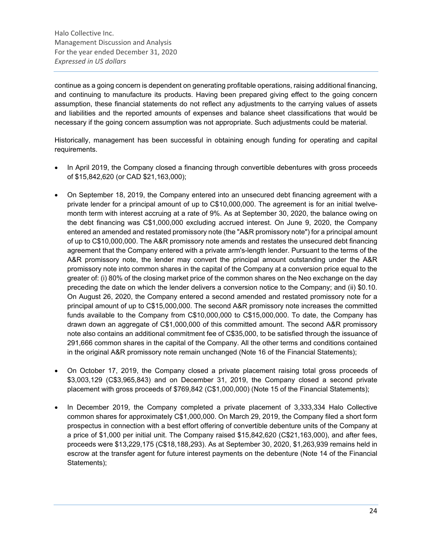continue as a going concern is dependent on generating profitable operations, raising additional financing, and continuing to manufacture its products. Having been prepared giving effect to the going concern assumption, these financial statements do not reflect any adjustments to the carrying values of assets and liabilities and the reported amounts of expenses and balance sheet classifications that would be necessary if the going concern assumption was not appropriate. Such adjustments could be material.

Historically, management has been successful in obtaining enough funding for operating and capital requirements.

- In April 2019, the Company closed a financing through convertible debentures with gross proceeds of \$15,842,620 (or CAD \$21,163,000);
- On September 18, 2019, the Company entered into an unsecured debt financing agreement with a private lender for a principal amount of up to C\$10,000,000. The agreement is for an initial twelvemonth term with interest accruing at a rate of 9%. As at September 30, 2020, the balance owing on the debt financing was C\$1,000,000 excluding accrued interest. On June 9, 2020, the Company entered an amended and restated promissory note (the "A&R promissory note") for a principal amount of up to C\$10,000,000. The A&R promissory note amends and restates the unsecured debt financing agreement that the Company entered with a private arm's-length lender. Pursuant to the terms of the A&R promissory note, the lender may convert the principal amount outstanding under the A&R promissory note into common shares in the capital of the Company at a conversion price equal to the greater of: (i) 80% of the closing market price of the common shares on the Neo exchange on the day preceding the date on which the lender delivers a conversion notice to the Company; and (ii) \$0.10. On August 26, 2020, the Company entered a second amended and restated promissory note for a principal amount of up to C\$15,000,000. The second A&R promissory note increases the committed funds available to the Company from C\$10,000,000 to C\$15,000,000. To date, the Company has drawn down an aggregate of C\$1,000,000 of this committed amount. The second A&R promissory note also contains an additional commitment fee of C\$35,000, to be satisfied through the issuance of 291,666 common shares in the capital of the Company. All the other terms and conditions contained in the original A&R promissory note remain unchanged (Note 16 of the Financial Statements);
- On October 17, 2019, the Company closed a private placement raising total gross proceeds of \$3,003,129 (C\$3,965,843) and on December 31, 2019, the Company closed a second private placement with gross proceeds of \$769,842 (C\$1,000,000) (Note 15 of the Financial Statements);
- In December 2019, the Company completed a private placement of 3,333,334 Halo Collective common shares for approximately C\$1,000,000. On March 29, 2019, the Company filed a short form prospectus in connection with a best effort offering of convertible debenture units of the Company at a price of \$1,000 per initial unit. The Company raised \$15,842,620 (C\$21,163,000), and after fees, proceeds were \$13,229,175 (C\$18,188,293). As at September 30, 2020, \$1,263,939 remains held in escrow at the transfer agent for future interest payments on the debenture (Note 14 of the Financial Statements);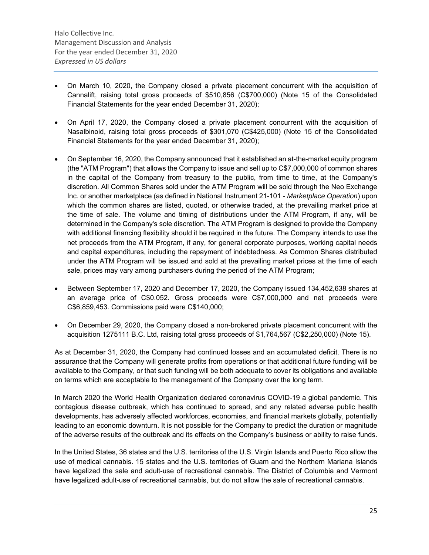- On March 10, 2020, the Company closed a private placement concurrent with the acquisition of Cannalift, raising total gross proceeds of \$510,856 (C\$700,000) (Note 15 of the Consolidated Financial Statements for the year ended December 31, 2020);
- On April 17, 2020, the Company closed a private placement concurrent with the acquisition of Nasalbinoid, raising total gross proceeds of \$301,070 (C\$425,000) (Note 15 of the Consolidated Financial Statements for the year ended December 31, 2020);
- On September 16, 2020, the Company announced that it established an at-the-market equity program (the "ATM Program") that allows the Company to issue and sell up to C\$7,000,000 of common shares in the capital of the Company from treasury to the public, from time to time, at the Company's discretion. All Common Shares sold under the ATM Program will be sold through the Neo Exchange Inc. or another marketplace (as defined in National Instrument 21-101 - *Marketplace Operation*) upon which the common shares are listed, quoted, or otherwise traded, at the prevailing market price at the time of sale. The volume and timing of distributions under the ATM Program, if any, will be determined in the Company's sole discretion. The ATM Program is designed to provide the Company with additional financing flexibility should it be required in the future. The Company intends to use the net proceeds from the ATM Program, if any, for general corporate purposes, working capital needs and capital expenditures, including the repayment of indebtedness. As Common Shares distributed under the ATM Program will be issued and sold at the prevailing market prices at the time of each sale, prices may vary among purchasers during the period of the ATM Program;
- Between September 17, 2020 and December 17, 2020, the Company issued 134,452,638 shares at an average price of C\$0.052. Gross proceeds were C\$7,000,000 and net proceeds were C\$6,859,453. Commissions paid were C\$140,000;
- On December 29, 2020, the Company closed a non-brokered private placement concurrent with the acquisition 1275111 B.C. Ltd, raising total gross proceeds of \$1,764,567 (C\$2,250,000) (Note 15).

As at December 31, 2020, the Company had continued losses and an accumulated deficit. There is no assurance that the Company will generate profits from operations or that additional future funding will be available to the Company, or that such funding will be both adequate to cover its obligations and available on terms which are acceptable to the management of the Company over the long term.

In March 2020 the World Health Organization declared coronavirus COVID-19 a global pandemic. This contagious disease outbreak, which has continued to spread, and any related adverse public health developments, has adversely affected workforces, economies, and financial markets globally, potentially leading to an economic downturn. It is not possible for the Company to predict the duration or magnitude of the adverse results of the outbreak and its effects on the Company's business or ability to raise funds.

In the United States, 36 states and the U.S. territories of the U.S. Virgin Islands and Puerto Rico allow the use of medical cannabis. 15 states and the U.S. territories of Guam and the Northern Mariana Islands have legalized the sale and adult-use of recreational cannabis. The District of Columbia and Vermont have legalized adult-use of recreational cannabis, but do not allow the sale of recreational cannabis.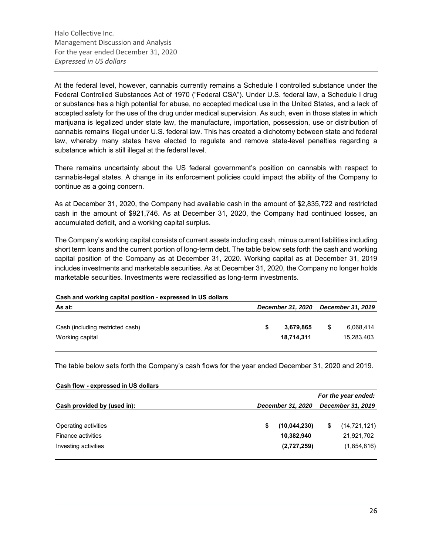At the federal level, however, cannabis currently remains a Schedule I controlled substance under the Federal Controlled Substances Act of 1970 ("Federal CSA"). Under U.S. federal law, a Schedule I drug or substance has a high potential for abuse, no accepted medical use in the United States, and a lack of accepted safety for the use of the drug under medical supervision. As such, even in those states in which marijuana is legalized under state law, the manufacture, importation, possession, use or distribution of cannabis remains illegal under U.S. federal law. This has created a dichotomy between state and federal law, whereby many states have elected to regulate and remove state-level penalties regarding a substance which is still illegal at the federal level.

There remains uncertainty about the US federal government's position on cannabis with respect to cannabis-legal states. A change in its enforcement policies could impact the ability of the Company to continue as a going concern.

As at December 31, 2020, the Company had available cash in the amount of \$2,835,722 and restricted cash in the amount of \$921,746. As at December 31, 2020, the Company had continued losses, an accumulated deficit, and a working capital surplus.

The Company's working capital consists of current assets including cash, minus current liabilities including short term loans and the current portion of long-term debt. The table below sets forth the cash and working capital position of the Company as at December 31, 2020. Working capital as at December 31, 2019 includes investments and marketable securities. As at December 31, 2020, the Company no longer holds marketable securities. Investments were reclassified as long-term investments.

# **Cash and working capital position - expressed in US dollars As at:** *December 31, 2020 December 31, 2019*

| Cash (including restricted cash) | 3,679,865  | - \$ | 6,068,414  |
|----------------------------------|------------|------|------------|
| Working capital                  | 18.714.311 |      | 15,283,403 |
|                                  |            |      |            |

The table below sets forth the Company's cash flows for the year ended December 31, 2020 and 2019.

| Cash flow - expressed in US dollars |                     |              |                   |                |  |  |  |
|-------------------------------------|---------------------|--------------|-------------------|----------------|--|--|--|
|                                     | For the year ended: |              |                   |                |  |  |  |
| Cash provided by (used in):         | December 31, 2020   |              | December 31, 2019 |                |  |  |  |
|                                     |                     |              |                   |                |  |  |  |
| Operating activities                |                     | (10,044,230) | S                 | (14, 721, 121) |  |  |  |
| Finance activities                  |                     | 10,382,940   |                   | 21,921,702     |  |  |  |
| Investing activities                |                     | (2,727,259)  |                   | (1,854,816)    |  |  |  |
|                                     |                     |              |                   |                |  |  |  |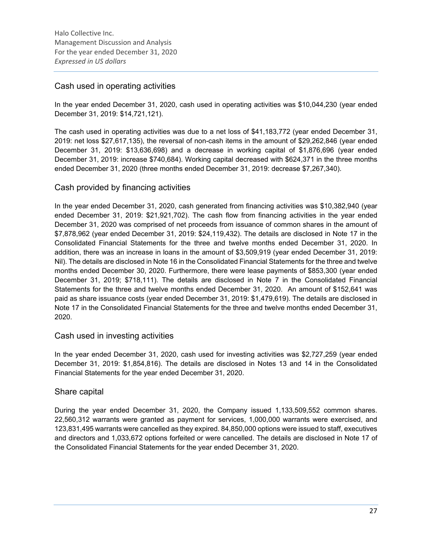# Cash used in operating activities

In the year ended December 31, 2020, cash used in operating activities was \$10,044,230 (year ended December 31, 2019: \$14,721,121).

The cash used in operating activities was due to a net loss of \$41,183,772 (year ended December 31, 2019: net loss \$27,617,135), the reversal of non-cash items in the amount of \$29,262,846 (year ended December 31, 2019: \$13,636,698) and a decrease in working capital of \$1,876,696 (year ended December 31, 2019: increase \$740,684). Working capital decreased with \$624,371 in the three months ended December 31, 2020 (three months ended December 31, 2019: decrease \$7,267,340).

# Cash provided by financing activities

In the year ended December 31, 2020, cash generated from financing activities was \$10,382,940 (year ended December 31, 2019: \$21,921,702). The cash flow from financing activities in the year ended December 31, 2020 was comprised of net proceeds from issuance of common shares in the amount of \$7,878,962 (year ended December 31, 2019: \$24,119,432). The details are disclosed in Note 17 in the Consolidated Financial Statements for the three and twelve months ended December 31, 2020. In addition, there was an increase in loans in the amount of \$3,509,919 (year ended December 31, 2019: Nil). The details are disclosed in Note 16 in the Consolidated Financial Statements for the three and twelve months ended December 30, 2020. Furthermore, there were lease payments of \$853,300 (year ended December 31, 2019; \$718,111). The details are disclosed in Note 7 in the Consolidated Financial Statements for the three and twelve months ended December 31, 2020. An amount of \$152,641 was paid as share issuance costs (year ended December 31, 2019: \$1,479,619). The details are disclosed in Note 17 in the Consolidated Financial Statements for the three and twelve months ended December 31, 2020.

# Cash used in investing activities

In the year ended December 31, 2020, cash used for investing activities was \$2,727,259 (year ended December 31, 2019: \$1,854,816). The details are disclosed in Notes 13 and 14 in the Consolidated Financial Statements for the year ended December 31, 2020.

# Share capital

During the year ended December 31, 2020, the Company issued 1,133,509,552 common shares. 22,560,312 warrants were granted as payment for services, 1,000,000 warrants were exercised, and 123,831,495 warrants were cancelled as they expired. 84,850,000 options were issued to staff, executives and directors and 1,033,672 options forfeited or were cancelled. The details are disclosed in Note 17 of the Consolidated Financial Statements for the year ended December 31, 2020.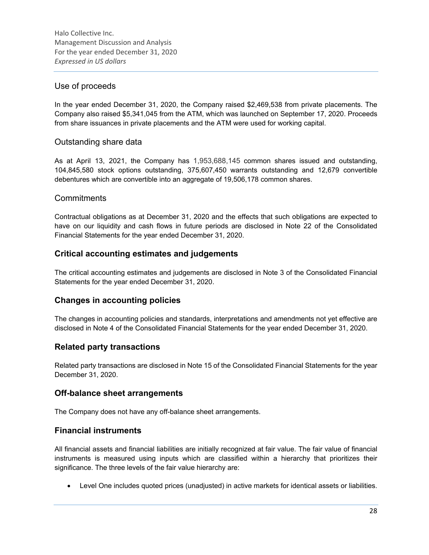# Use of proceeds

In the year ended December 31, 2020, the Company raised \$2,469,538 from private placements. The Company also raised \$5,341,045 from the ATM, which was launched on September 17, 2020. Proceeds from share issuances in private placements and the ATM were used for working capital.

# Outstanding share data

As at April 13, 2021, the Company has 1,953,688,145 common shares issued and outstanding, 104,845,580 stock options outstanding, 375,607,450 warrants outstanding and 12,679 convertible debentures which are convertible into an aggregate of 19,506,178 common shares.

# **Commitments**

Contractual obligations as at December 31, 2020 and the effects that such obligations are expected to have on our liquidity and cash flows in future periods are disclosed in Note 22 of the Consolidated Financial Statements for the year ended December 31, 2020.

# **Critical accounting estimates and judgements**

The critical accounting estimates and judgements are disclosed in Note 3 of the Consolidated Financial Statements for the year ended December 31, 2020.

# **Changes in accounting policies**

The changes in accounting policies and standards, interpretations and amendments not yet effective are disclosed in Note 4 of the Consolidated Financial Statements for the year ended December 31, 2020.

# **Related party transactions**

Related party transactions are disclosed in Note 15 of the Consolidated Financial Statements for the year December 31, 2020.

# **Off-balance sheet arrangements**

The Company does not have any off-balance sheet arrangements.

# **Financial instruments**

All financial assets and financial liabilities are initially recognized at fair value. The fair value of financial instruments is measured using inputs which are classified within a hierarchy that prioritizes their significance. The three levels of the fair value hierarchy are:

Level One includes quoted prices (unadjusted) in active markets for identical assets or liabilities.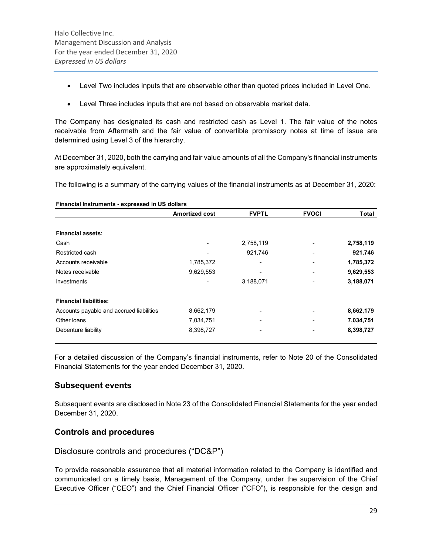- Level Two includes inputs that are observable other than quoted prices included in Level One.
- Level Three includes inputs that are not based on observable market data.

The Company has designated its cash and restricted cash as Level 1. The fair value of the notes receivable from Aftermath and the fair value of convertible promissory notes at time of issue are determined using Level 3 of the hierarchy.

At December 31, 2020, both the carrying and fair value amounts of all the Company's financial instruments are approximately equivalent.

The following is a summary of the carrying values of the financial instruments as at December 31, 2020:

| Financial Instruments - expressed in US dollars | <b>Amortized cost</b> | <b>FVPTL</b> | <b>FVOCI</b> | <b>Total</b> |
|-------------------------------------------------|-----------------------|--------------|--------------|--------------|
|                                                 |                       |              |              |              |
| <b>Financial assets:</b>                        |                       |              |              |              |
| Cash                                            |                       | 2,758,119    |              | 2,758,119    |
| Restricted cash                                 |                       | 921,746      |              | 921,746      |
| Accounts receivable                             | 1,785,372             |              |              | 1,785,372    |
| Notes receivable                                | 9,629,553             |              |              | 9,629,553    |
| Investments                                     |                       | 3,188,071    |              | 3,188,071    |
| <b>Financial liabilities:</b>                   |                       |              |              |              |
| Accounts payable and accrued liabilities        | 8,662,179             |              |              | 8,662,179    |
| Other loans                                     | 7,034,751             |              |              | 7,034,751    |
| Debenture liability                             | 8,398,727             |              |              | 8,398,727    |

For a detailed discussion of the Company's financial instruments, refer to Note 20 of the Consolidated Financial Statements for the year ended December 31, 2020.

# **Subsequent events**

Subsequent events are disclosed in Note 23 of the Consolidated Financial Statements for the year ended December 31, 2020.

# **Controls and procedures**

Disclosure controls and procedures ("DC&P")

To provide reasonable assurance that all material information related to the Company is identified and communicated on a timely basis, Management of the Company, under the supervision of the Chief Executive Officer ("CEO") and the Chief Financial Officer ("CFO"), is responsible for the design and